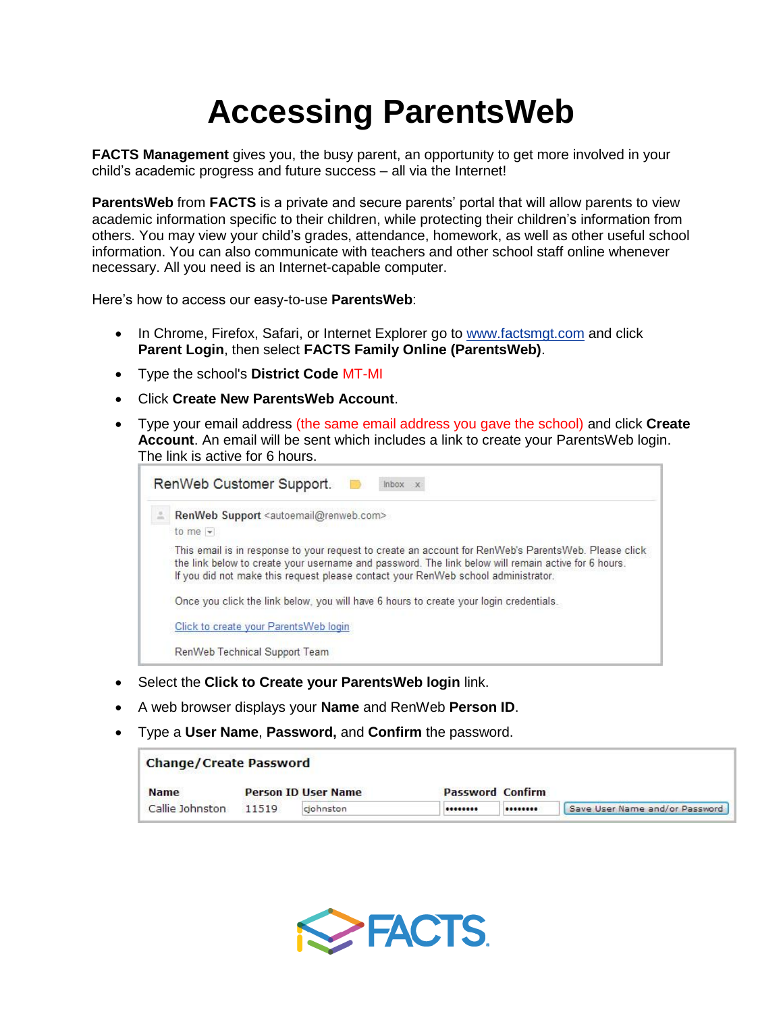## **Accessing ParentsWeb**

**FACTS Management** gives you, the busy parent, an opportunity to get more involved in your child's academic progress and future success – all via the Internet!

**ParentsWeb** from **FACTS** is a private and secure parents' portal that will allow parents to view academic information specific to their children, while protecting their children's information from others. You may view your child's grades, attendance, homework, as well as other useful school information. You can also communicate with teachers and other school staff online whenever necessary. All you need is an Internet-capable computer.

Here's how to access our easy-to-use **ParentsWeb**:

- In Chrome, Firefox, Safari, or Internet Explorer go to [www.factsmgt.com](http://www.factsmgt.com/) and click **Parent Login**, then select **FACTS Family Online (ParentsWeb)**.
- Type the school's **District Code** MT-MI
- Click **Create New ParentsWeb Account**.
- Type your email address (the same email address you gave the school) and click **Create Account**. An email will be sent which includes a link to create your ParentsWeb login. The link is active for 6 hours.

| RenWeb Support <autoemail@renweb.com></autoemail@renweb.com>                                                                                                                                                                                                                                     |  |  |  |  |  |  |
|--------------------------------------------------------------------------------------------------------------------------------------------------------------------------------------------------------------------------------------------------------------------------------------------------|--|--|--|--|--|--|
| to me $-$                                                                                                                                                                                                                                                                                        |  |  |  |  |  |  |
| This email is in response to your request to create an account for RenWeb's ParentsWeb. Please click<br>the link below to create your username and password. The link below will remain active for 6 hours.<br>If you did not make this request please contact your RenWeb school administrator. |  |  |  |  |  |  |
| Once you click the link below, you will have 6 hours to create your login credentials.                                                                                                                                                                                                           |  |  |  |  |  |  |
| Click to create your Parents Web login                                                                                                                                                                                                                                                           |  |  |  |  |  |  |
|                                                                                                                                                                                                                                                                                                  |  |  |  |  |  |  |

- Select the **Click to Create your ParentsWeb login** link.
- A web browser displays your **Name** and RenWeb **Person ID**.
- Type a **User Name**, **Password,** and **Confirm** the password.

## **Change/Create Password**

| <b>Name</b>     | <b>Person ID User Name</b> |           | <b>Password Confirm</b> |                                    |
|-----------------|----------------------------|-----------|-------------------------|------------------------------------|
| Callie Johnston | 11519                      | ciohnston |                         | <br>Save User Name and/or Password |